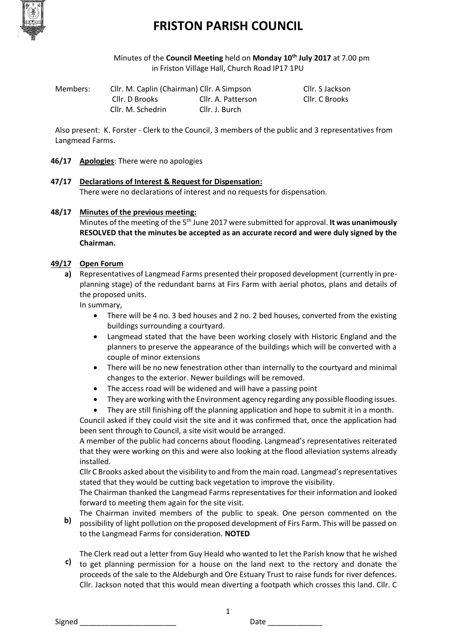

Minutes of the **Council Meeting** held on **Monday 10th July 2017** at 7.00 pm in Friston Village Hall, Church Road IP17 1PU

Members: Cllr. M. Caplin (Chairman) Cllr. A Simpson Cllr. S Jackson Cllr. D Brooks Cllr. A. Patterson Cllr. C Brooks Cllr. M. Schedrin Cllr. J. Burch

Also present: K. Forster - Clerk to the Council, 3 members of the public and 3 representatives from Langmead Farms.

#### **46/17 Apologies**: There were no apologies

#### **47/17 Declarations of Interest & Request for Dispensation:** There were no declarations of interest and no requests for dispensation.

#### **48/17 Minutes of the previous meeting:**

Minutes of the meeting of the 5<sup>th</sup> June 2017 were submitted for approval. **It was unanimously RESOLVED that the minutes be accepted as an accurate record and were duly signed by the Chairman.**

#### **49/17 Open Forum**

**a)** Representatives of Langmead Farms presented their proposed development (currently in preplanning stage) of the redundant barns at Firs Farm with aerial photos, plans and details of the proposed units.

In summary,

- There will be 4 no. 3 bed houses and 2 no. 2 bed houses, converted from the existing buildings surrounding a courtyard.
- Langmead stated that the have been working closely with Historic England and the planners to preserve the appearance of the buildings which will be converted with a couple of minor extensions
- There will be no new fenestration other than internally to the courtyard and minimal changes to the exterior. Newer buildings will be removed.
- The access road will be widened and will have a passing point
- They are working with the Environment agency regarding any possible flooding issues.
- They are still finishing off the planning application and hope to submit it in a month.

Council asked if they could visit the site and it was confirmed that, once the application had been sent through to Council, a site visit would be arranged.

A member of the public had concerns about flooding. Langmead's representatives reiterated that they were working on this and were also looking at the flood alleviation systems already installed.

Cllr C Brooks asked about the visibility to and from the main road. Langmead's representatives stated that they would be cutting back vegetation to improve the visibility.

The Chairman thanked the Langmead Farms representatives for their information and looked forward to meeting them again for the site visit.

**b)** The Chairman invited members of the public to speak. One person commented on the possibility of light pollution on the proposed development of Firs Farm. This will be passed on to the Langmead Farms for consideration. **NOTED**

**c)** to get planning permission for a house on the land next to the rectory and donate the The Clerk read out a letter from Guy Heald who wanted to let the Parish know that he wished proceeds of the sale to the Aldeburgh and Ore Estuary Trust to raise funds for river defences. Cllr. Jackson noted that this would mean diverting a footpath which crosses this land. Cllr. C

1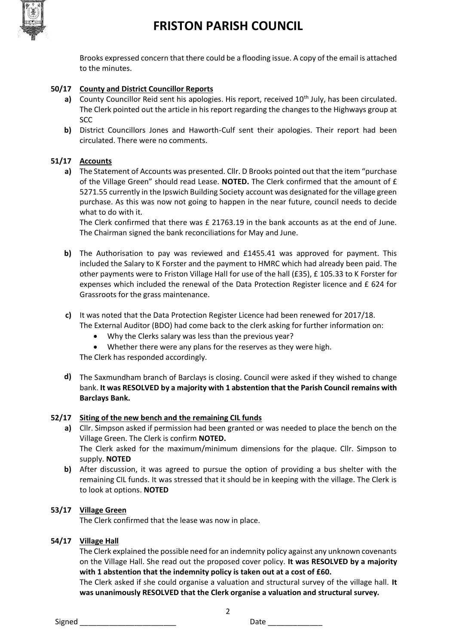

Brooks expressed concern that there could be a flooding issue. A copy of the email is attached to the minutes.

## **50/17 County and District Councillor Reports**

- a) County Councillor Reid sent his apologies. His report, received 10<sup>th</sup> July, has been circulated. The Clerk pointed out the article in his report regarding the changes to the Highways group at SCC
- **b)** District Councillors Jones and Haworth-Culf sent their apologies. Their report had been circulated. There were no comments.

### **51/17 Accounts**

**a)** The Statement of Accounts was presented. Cllr. D Brooks pointed out that the item "purchase of the Village Green" should read Lease. **NOTED.** The Clerk confirmed that the amount of £ 5271.55 currently in the Ipswich Building Society account was designated for the village green purchase. As this was now not going to happen in the near future, council needs to decide what to do with it.

The Clerk confirmed that there was £ 21763.19 in the bank accounts as at the end of June. The Chairman signed the bank reconciliations for May and June.

- **b)** The Authorisation to pay was reviewed and £1455.41 was approved for payment. This included the Salary to K Forster and the payment to HMRC which had already been paid. The other payments were to Friston Village Hall for use of the hall (£35), £ 105.33 to K Forster for expenses which included the renewal of the Data Protection Register licence and £ 624 for Grassroots for the grass maintenance.
- **c)** It was noted that the Data Protection Register Licence had been renewed for 2017/18.

The External Auditor (BDO) had come back to the clerk asking for further information on:

- Why the Clerks salary was less than the previous year?
- Whether there were any plans for the reserves as they were high.

The Clerk has responded accordingly.

**d)** The Saxmundham branch of Barclays is closing. Council were asked if they wished to change bank. **It was RESOLVED by a majority with 1 abstention that the Parish Council remains with Barclays Bank.**

### **52/17 Siting of the new bench and the remaining CIL funds**

- **a)** Cllr. Simpson asked if permission had been granted or was needed to place the bench on the Village Green. The Clerk is confirm **NOTED.**  The Clerk asked for the maximum/minimum dimensions for the plaque. Cllr. Simpson to supply. **NOTED**
- **b)** After discussion, it was agreed to pursue the option of providing a bus shelter with the remaining CIL funds. It was stressed that it should be in keeping with the village. The Clerk is to look at options. **NOTED**

### **53/17 Village Green**

The Clerk confirmed that the lease was now in place.

#### **54/17 Village Hall**

The Clerk explained the possible need for an indemnity policy against any unknown covenants on the Village Hall. She read out the proposed cover policy. **It was RESOLVED by a majority with 1 abstention that the indemnity policy is taken out at a cost of £60.**

The Clerk asked if she could organise a valuation and structural survey of the village hall. **It was unanimously RESOLVED that the Clerk organise a valuation and structural survey.** 

2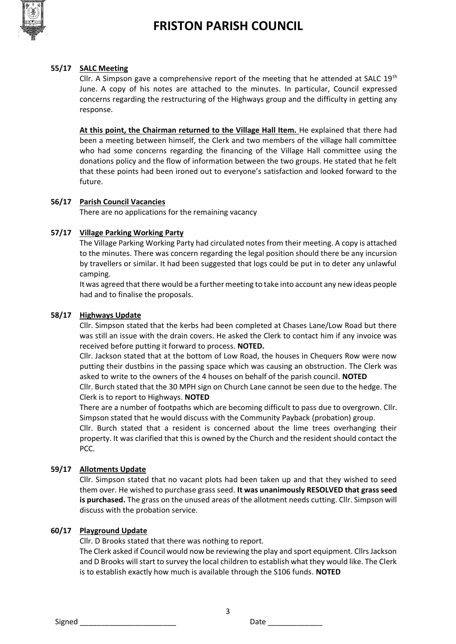

#### **55/17 SALC Meeting**

Cllr. A Simpson gave a comprehensive report of the meeting that he attended at SALC  $19^{th}$ June. A copy of his notes are attached to the minutes. In particular, Council expressed concerns regarding the restructuring of the Highways group and the difficulty in getting any response.

**At this point, the Chairman returned to the Village Hall Item.** He explained that there had been a meeting between himself, the Clerk and two members of the village hall committee who had some concerns regarding the financing of the Village Hall committee using the donations policy and the flow of information between the two groups. He stated that he felt that these points had been ironed out to everyone's satisfaction and looked forward to the future.

#### **56/17 Parish Council Vacancies**

There are no applications for the remaining vacancy

### **57/17 Village Parking Working Party**

The Village Parking Working Party had circulated notes from their meeting. A copy is attached to the minutes. There was concern regarding the legal position should there be any incursion by travellers or similar. It had been suggested that logs could be put in to deter any unlawful camping.

It was agreed that there would be a further meeting to take into account any new ideas people had and to finalise the proposals.

#### **58/17 Highways Update**

Cllr. Simpson stated that the kerbs had been completed at Chases Lane/Low Road but there was still an issue with the drain covers. He asked the Clerk to contact him if any invoice was received before putting it forward to process. **NOTED.**

Cllr. Jackson stated that at the bottom of Low Road, the houses in Chequers Row were now putting their dustbins in the passing space which was causing an obstruction. The Clerk was asked to write to the owners of the 4 houses on behalf of the parish council. **NOTED**

Cllr. Burch stated that the 30 MPH sign on Church Lane cannot be seen due to the hedge. The Clerk is to report to Highways. **NOTED**

There are a number of footpaths which are becoming difficult to pass due to overgrown. Cllr. Simpson stated that he would discuss with the Community Payback (probation) group.

Cllr. Burch stated that a resident is concerned about the lime trees overhanging their property. It was clarified that this is owned by the Church and the resident should contact the PCC.

### **59/17 Allotments Update**

Cllr. Simpson stated that no vacant plots had been taken up and that they wished to seed them over. He wished to purchase grass seed. **It was unanimously RESOLVED that grass seed is purchased.** The grass on the unused areas of the allotment needs cutting. Cllr. Simpson will discuss with the probation service.

#### **60/17 Playground Update**

Cllr. D Brooks stated that there was nothing to report.

The Clerk asked if Council would now be reviewing the play and sport equipment. Cllrs Jackson and D Brooks will start to survey the local children to establish what they would like. The Clerk is to establish exactly how much is available through the S106 funds. **NOTED**

3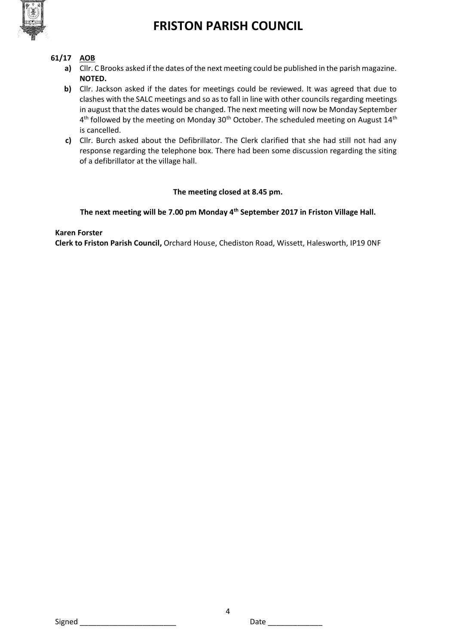

# **61/17 AOB**

- **a)** Cllr. C Brooks asked if the dates of the next meeting could be published in the parish magazine. **NOTED.**
- **b)** Cllr. Jackson asked if the dates for meetings could be reviewed. It was agreed that due to clashes with the SALC meetings and so as to fall in line with other councils regarding meetings in august that the dates would be changed. The next meeting will now be Monday September  $4^{\text{th}}$  followed by the meeting on Monday 30<sup>th</sup> October. The scheduled meeting on August  $14^{\text{th}}$ is cancelled.
- **c)** Cllr. Burch asked about the Defibrillator. The Clerk clarified that she had still not had any response regarding the telephone box. There had been some discussion regarding the siting of a defibrillator at the village hall.

### **The meeting closed at 8.45 pm.**

#### **The next meeting will be 7.00 pm Monday 4th September 2017 in Friston Village Hall.**

#### **Karen Forster**

**Clerk to Friston Parish Council,** Orchard House, Chediston Road, Wissett, Halesworth, IP19 0NF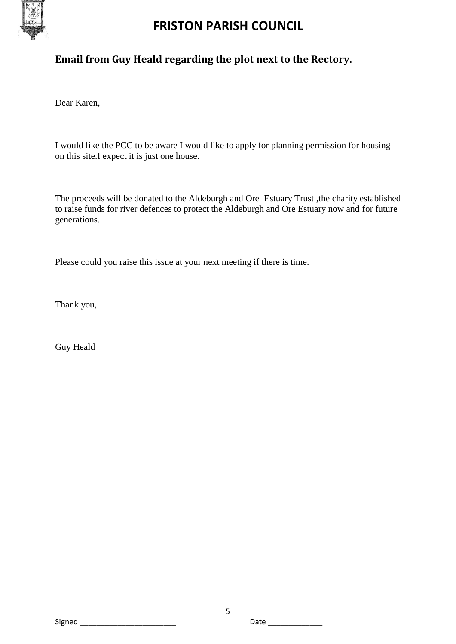

# **Email from Guy Heald regarding the plot next to the Rectory.**

Dear Karen,

I would like the PCC to be aware I would like to apply for planning permission for housing on this site.I expect it is just one house.

The proceeds will be donated to the Aldeburgh and Ore Estuary Trust ,the charity established to raise funds for river defences to protect the Aldeburgh and Ore Estuary now and for future generations.

Please could you raise this issue at your next meeting if there is time.

Thank you,

Guy Heald

Signed \_\_\_\_\_\_\_\_\_\_\_\_\_\_\_\_\_\_\_\_\_\_\_ Date \_\_\_\_\_\_\_\_\_\_\_\_\_

5